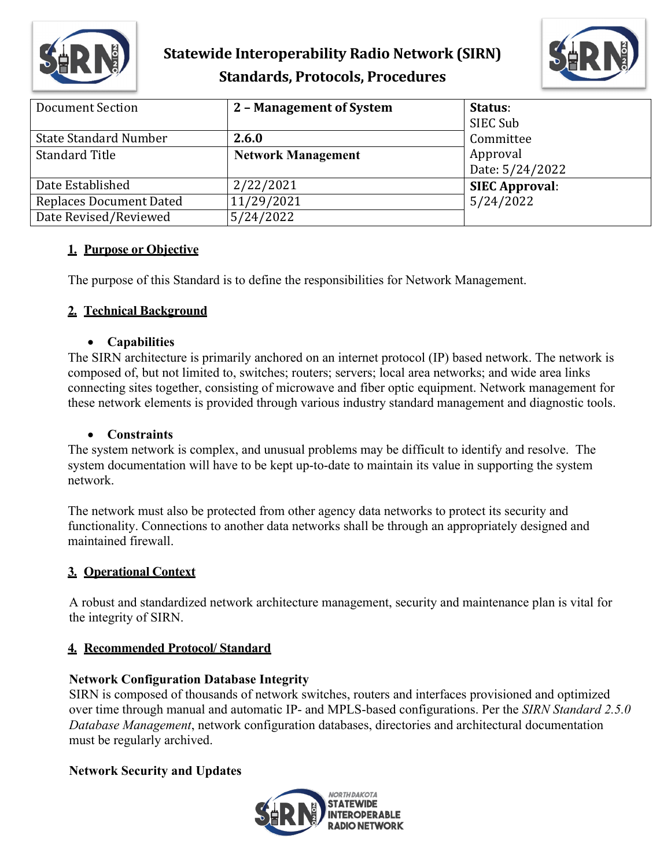

# **Statewide Interoperability Radio Network (SIRN) Standards, Protocols, Procedures**



| Document Section               | 2 - Management of System  | Status:<br>SIEC Sub         |
|--------------------------------|---------------------------|-----------------------------|
| <b>State Standard Number</b>   | 2.6.0                     | Committee                   |
| <b>Standard Title</b>          | <b>Network Management</b> | Approval<br>Date: 5/24/2022 |
| Date Established               | 2/22/2021                 | <b>SIEC Approval:</b>       |
| <b>Replaces Document Dated</b> | 11/29/2021                | 5/24/2022                   |
| Date Revised/Reviewed          | 5/24/2022                 |                             |

### **1. Purpose or Objective**

The purpose of this Standard is to define the responsibilities for Network Management.

# **2. Technical Background**

#### • **Capabilities**

The SIRN architecture is primarily anchored on an internet protocol (IP) based network. The network is composed of, but not limited to, switches; routers; servers; local area networks; and wide area links connecting sites together, consisting of microwave and fiber optic equipment. Network management for these network elements is provided through various industry standard management and diagnostic tools.

#### • **Constraints**

The system network is complex, and unusual problems may be difficult to identify and resolve. The system documentation will have to be kept up-to-date to maintain its value in supporting the system network.

The network must also be protected from other agency data networks to protect its security and functionality. Connections to another data networks shall be through an appropriately designed and maintained firewall.

### **3. Operational Context**

A robust and standardized network architecture management, security and maintenance plan is vital for the integrity of SIRN.

### **4. Recommended Protocol/ Standard**

### **Network Configuration Database Integrity**

SIRN is composed of thousands of network switches, routers and interfaces provisioned and optimized over time through manual and automatic IP- and MPLS-based configurations. Per the *SIRN Standard 2.5.0 Database Management*, network configuration databases, directories and architectural documentation must be regularly archived.

### **Network Security and Updates**